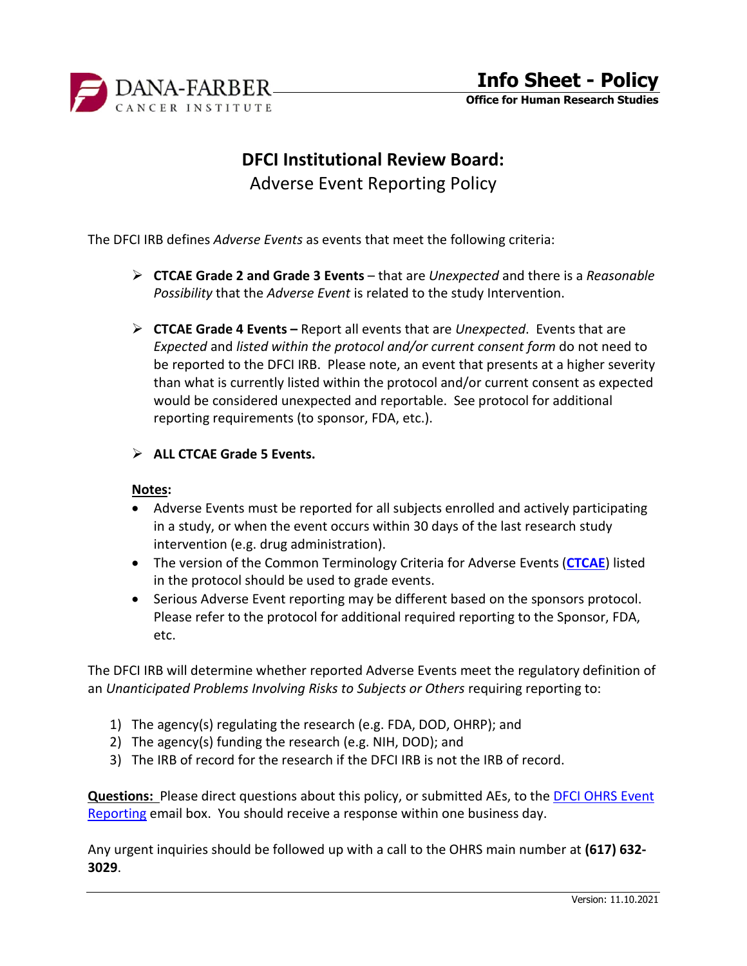

**Office for Human Research Studies**

# **DFCI Institutional Review Board:**

Adverse Event Reporting Policy

The DFCI IRB defines *Adverse Events* as events that meet the following criteria:

- **CTCAE Grade 2 and Grade 3 Events**  that are *Unexpected* and there is a *Reasonable Possibility* that the *Adverse Event* is related to the study Intervention.
- **CTCAE Grade 4 Events –** Report all events that are *Unexpected*. Events that are *Expected* and *listed within the protocol and/or current consent form* do not need to be reported to the DFCI IRB. Please note, an event that presents at a higher severity than what is currently listed within the protocol and/or current consent as expected would be considered unexpected and reportable. See protocol for additional reporting requirements (to sponsor, FDA, etc.).
- **ALL CTCAE Grade 5 Events.**

#### **Notes:**

- Adverse Events must be reported for all subjects enrolled and actively participating in a study, or when the event occurs within 30 days of the last research study intervention (e.g. drug administration).
- The version of the Common Terminology Criteria for Adverse Events (**[CTCAE](https://ctep.cancer.gov/protocolDevelopment/electronic_applications/ctc.htm)**) listed in the protocol should be used to grade events.
- Serious Adverse Event reporting may be different based on the sponsors protocol. Please refer to the protocol for additional required reporting to the Sponsor, FDA, etc.

The DFCI IRB will determine whether reported Adverse Events meet the regulatory definition of an *Unanticipated Problems Involving Risks to Subjects or Others* requiring reporting to:

- 1) The agency(s) regulating the research (e.g. FDA, DOD, OHRP); and
- 2) The agency(s) funding the research (e.g. NIH, DOD); and
- 3) The IRB of record for the research if the DFCI IRB is not the IRB of record.

**Questions:** Please direct questions about this policy, or submitted AEs, to th[e DFCI OHRS Event](mailto:OHRSEvent_Reporting@dfci.harvard.edu?subject=Adverse%20Event%20Question)  [Reporting](mailto:OHRSEvent_Reporting@dfci.harvard.edu?subject=Adverse%20Event%20Question) email box. You should receive a response within one business day.

Any urgent inquiries should be followed up with a call to the OHRS main number at **(617) 632- 3029**.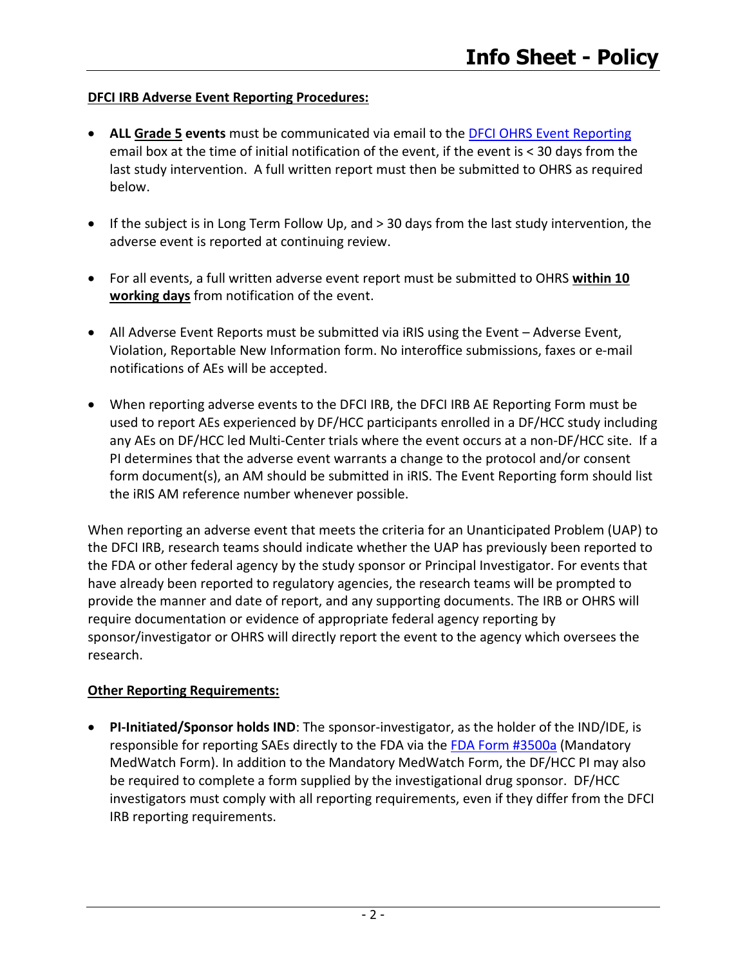# **DFCI IRB Adverse Event Reporting Procedures:**

- **ALL Grade 5 events** must be communicated via email to the [DFCI OHRS Event Reporting](mailto:OHRSEvent_Reporting@dfci.harvard.edu?subject=Grade%205%20Unexpected%20Adverse%20Event%20Initial%20Notice%20to%20OHRS) email box at the time of initial notification of the event, if the event is < 30 days from the last study intervention. A full written report must then be submitted to OHRS as required below.
- If the subject is in Long Term Follow Up, and > 30 days from the last study intervention, the adverse event is reported at continuing review.
- For all events, a full written adverse event report must be submitted to OHRS **within 10 working days** from notification of the event.
- All Adverse Event Reports must be submitted via iRIS using the Event Adverse Event, Violation, Reportable New Information form. No interoffice submissions, faxes or e-mail notifications of AEs will be accepted.
- When reporting adverse events to the DFCI IRB, the DFCI IRB AE Reporting Form must be used to report AEs experienced by DF/HCC participants enrolled in a DF/HCC study including any AEs on DF/HCC led Multi-Center trials where the event occurs at a non-DF/HCC site. If a PI determines that the adverse event warrants a change to the protocol and/or consent form document(s), an AM should be submitted in iRIS. The Event Reporting form should list the iRIS AM reference number whenever possible.

When reporting an adverse event that meets the criteria for an Unanticipated Problem (UAP) to the DFCI IRB, research teams should indicate whether the UAP has previously been reported to the FDA or other federal agency by the study sponsor or Principal Investigator. For events that have already been reported to regulatory agencies, the research teams will be prompted to provide the manner and date of report, and any supporting documents. The IRB or OHRS will require documentation or evidence of appropriate federal agency reporting by sponsor/investigator or OHRS will directly report the event to the agency which oversees the research.

#### **Other Reporting Requirements:**

• **PI-Initiated/Sponsor holds IND**: The sponsor-investigator, as the holder of the IND/IDE, is responsible for reporting SAEs directly to the FDA via the [FDA Form #3500a](http://www.fda.gov/Safety/MedWatch/HowToReport/DownloadForms/default.htm) (Mandatory MedWatch Form). In addition to the Mandatory MedWatch Form, the DF/HCC PI may also be required to complete a form supplied by the investigational drug sponsor. DF/HCC investigators must comply with all reporting requirements, even if they differ from the DFCI IRB reporting requirements.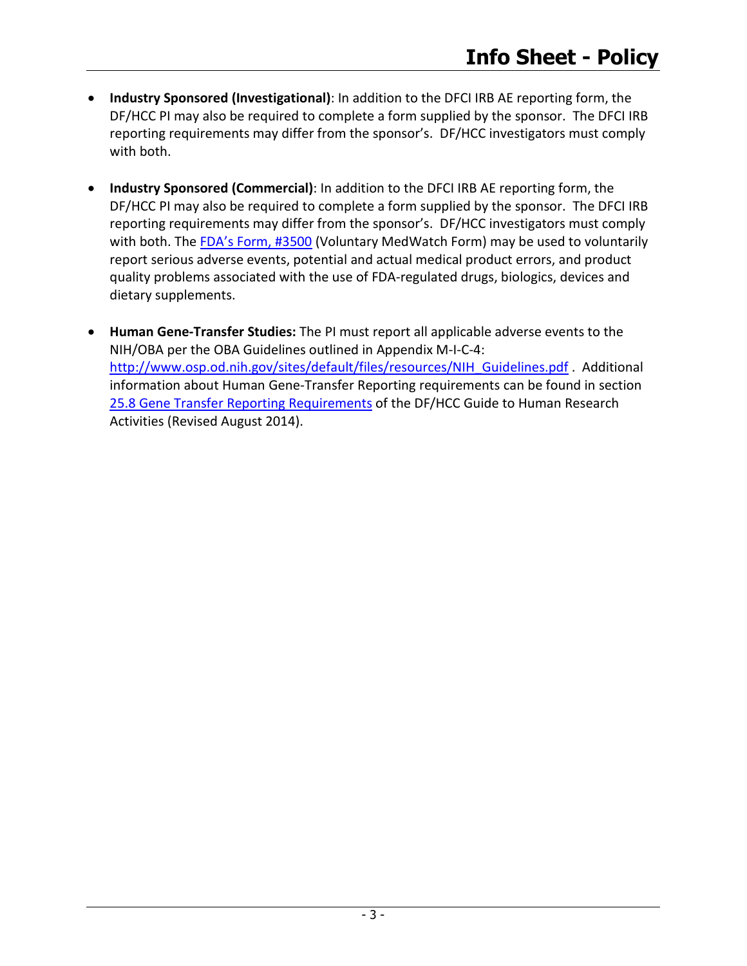- **Industry Sponsored (Investigational)**: In addition to the DFCI IRB AE reporting form, the DF/HCC PI may also be required to complete a form supplied by the sponsor. The DFCI IRB reporting requirements may differ from the sponsor's. DF/HCC investigators must comply with both.
- **Industry Sponsored (Commercial)**: In addition to the DFCI IRB AE reporting form, the DF/HCC PI may also be required to complete a form supplied by the sponsor. The DFCI IRB reporting requirements may differ from the sponsor's. DF/HCC investigators must comply with both. The [FDA's Form, #3500](http://www.fda.gov/Safety/MedWatch/HowToReport/DownloadForms/default.htm) (Voluntary MedWatch Form) may be used to voluntarily report serious adverse events, potential and actual medical product errors, and product quality problems associated with the use of FDA-regulated drugs, biologics, devices and dietary supplements.
- **Human Gene-Transfer Studies:** The PI must report all applicable adverse events to the NIH/OBA per the OBA Guidelines outlined in Appendix M-I-C-4: [http://www.osp.od.nih.gov/sites/default/files/resources/NIH\\_Guidelines.pdf](http://www.osp.od.nih.gov/sites/default/files/resources/NIH_Guidelines.pdf) . Additional information about Human Gene-Transfer Reporting requirements can be found in section [25.8 Gene Transfer Reporting Requirements](http://www.dfhcc.harvard.edu/fileadmin/DFHCC_Admin/Clinical_Trials/CTEO/Guide_2009/sect25_082409.pdf) of the DF/HCC Guide to Human Research Activities (Revised August 2014).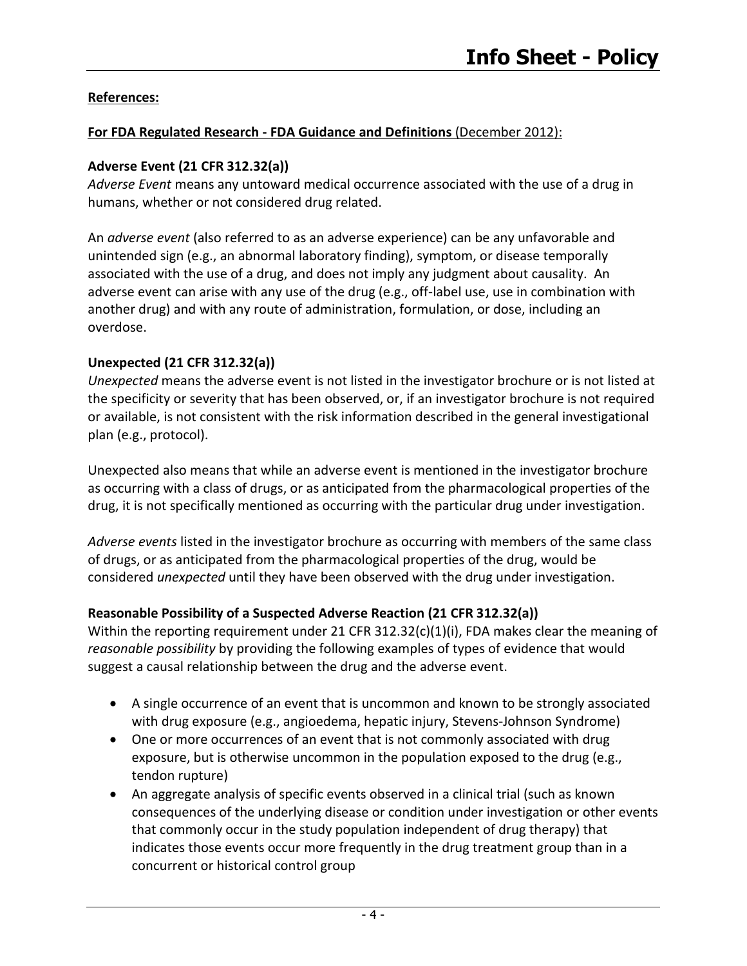# **References:**

### **For FDA Regulated Research - FDA Guidance and Definitions** (December 2012):

#### **Adverse Event (21 CFR 312.32(a))**

*Adverse Event* means any untoward medical occurrence associated with the use of a drug in humans, whether or not considered drug related.

An *adverse event* (also referred to as an adverse experience) can be any unfavorable and unintended sign (e.g., an abnormal laboratory finding), symptom, or disease temporally associated with the use of a drug, and does not imply any judgment about causality. An adverse event can arise with any use of the drug (e.g., off-label use, use in combination with another drug) and with any route of administration, formulation, or dose, including an overdose.

#### **Unexpected (21 CFR 312.32(a))**

*Unexpected* means the adverse event is not listed in the investigator brochure or is not listed at the specificity or severity that has been observed, or, if an investigator brochure is not required or available, is not consistent with the risk information described in the general investigational plan (e.g., protocol).

Unexpected also means that while an adverse event is mentioned in the investigator brochure as occurring with a class of drugs, or as anticipated from the pharmacological properties of the drug, it is not specifically mentioned as occurring with the particular drug under investigation.

*Adverse events* listed in the investigator brochure as occurring with members of the same class of drugs, or as anticipated from the pharmacological properties of the drug, would be considered *unexpected* until they have been observed with the drug under investigation.

# **Reasonable Possibility of a Suspected Adverse Reaction (21 CFR 312.32(a))**

Within the reporting requirement under 21 CFR 312.32(c)(1)(i), FDA makes clear the meaning of *reasonable possibility* by providing the following examples of types of evidence that would suggest a causal relationship between the drug and the adverse event.

- A single occurrence of an event that is uncommon and known to be strongly associated with drug exposure (e.g., angioedema, hepatic injury, Stevens-Johnson Syndrome)
- One or more occurrences of an event that is not commonly associated with drug exposure, but is otherwise uncommon in the population exposed to the drug (e.g., tendon rupture)
- An aggregate analysis of specific events observed in a clinical trial (such as known consequences of the underlying disease or condition under investigation or other events that commonly occur in the study population independent of drug therapy) that indicates those events occur more frequently in the drug treatment group than in a concurrent or historical control group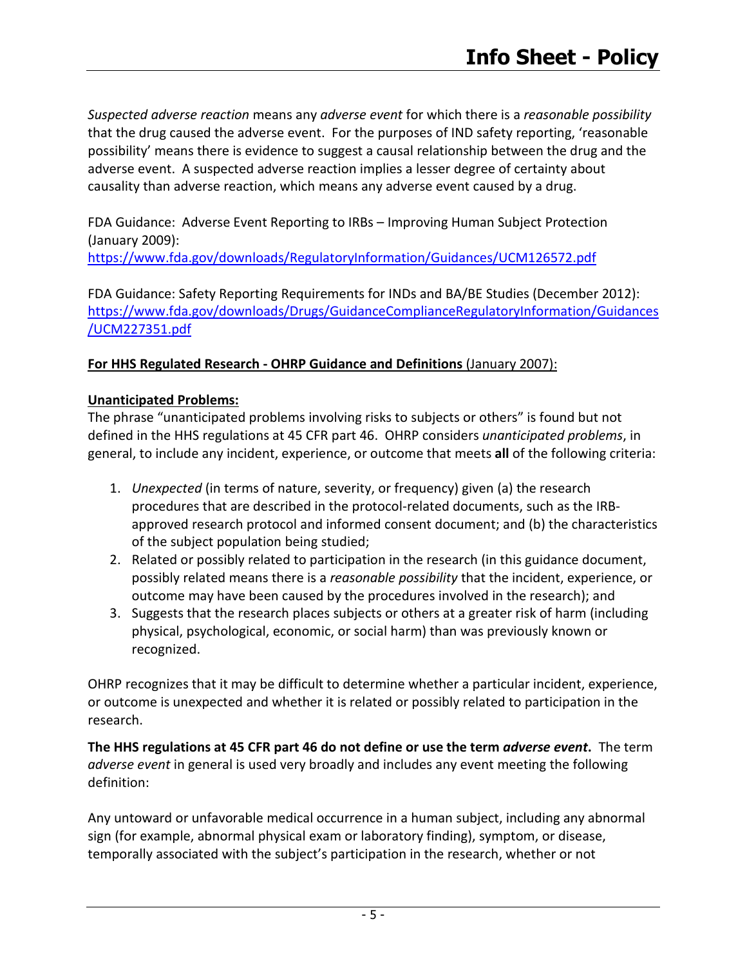*Suspected adverse reaction* means any *adverse event* for which there is a *reasonable possibility* that the drug caused the adverse event. For the purposes of IND safety reporting, 'reasonable possibility' means there is evidence to suggest a causal relationship between the drug and the adverse event. A suspected adverse reaction implies a lesser degree of certainty about causality than adverse reaction, which means any adverse event caused by a drug.

FDA Guidance: Adverse Event Reporting to IRBs – Improving Human Subject Protection (January 2009):

<https://www.fda.gov/downloads/RegulatoryInformation/Guidances/UCM126572.pdf>

FDA Guidance: Safety Reporting Requirements for INDs and BA/BE Studies (December 2012): [https://www.fda.gov/downloads/Drugs/GuidanceComplianceRegulatoryInformation/Guidances](https://www.fda.gov/downloads/Drugs/GuidanceComplianceRegulatoryInformation/Guidances/UCM227351.pdf) [/UCM227351.pdf](https://www.fda.gov/downloads/Drugs/GuidanceComplianceRegulatoryInformation/Guidances/UCM227351.pdf)

# **For HHS Regulated Research - OHRP Guidance and Definitions** (January 2007):

#### **Unanticipated Problems:**

The phrase "unanticipated problems involving risks to subjects or others" is found but not defined in the HHS regulations at 45 CFR part 46. OHRP considers *unanticipated problems*, in general, to include any incident, experience, or outcome that meets **all** of the following criteria:

- 1. *Unexpected* (in terms of nature, severity, or frequency) given (a) the research procedures that are described in the protocol-related documents, such as the IRBapproved research protocol and informed consent document; and (b) the characteristics of the subject population being studied;
- 2. Related or possibly related to participation in the research (in this guidance document, possibly related means there is a *reasonable possibility* that the incident, experience, or outcome may have been caused by the procedures involved in the research); and
- 3. Suggests that the research places subjects or others at a greater risk of harm (including physical, psychological, economic, or social harm) than was previously known or recognized.

OHRP recognizes that it may be difficult to determine whether a particular incident, experience, or outcome is unexpected and whether it is related or possibly related to participation in the research.

**The HHS regulations at 45 CFR part 46 do not define or use the term** *adverse event***.** The term *adverse event* in general is used very broadly and includes any event meeting the following definition:

Any untoward or unfavorable medical occurrence in a human subject, including any abnormal sign (for example, abnormal physical exam or laboratory finding), symptom, or disease, temporally associated with the subject's participation in the research, whether or not